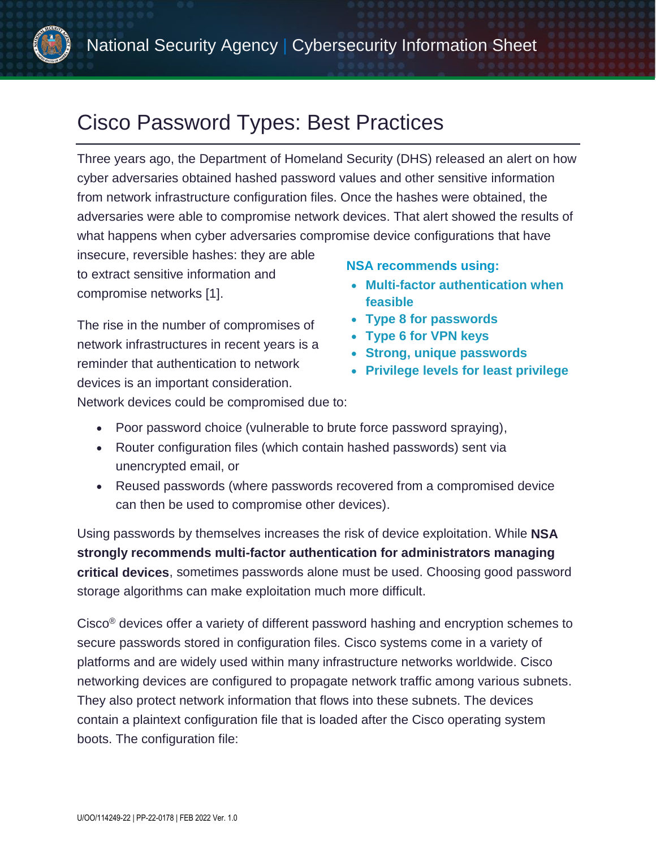

# Cisco Password Types: Best Practices

Three years ago, the Department of Homeland Security (DHS) released an alert on how cyber adversaries obtained hashed password values and other sensitive information from network infrastructure configuration files. Once the hashes were obtained, the adversaries were able to compromise network devices. That alert showed the results of what happens when cyber adversaries compromise device configurations that have

insecure, reversible hashes: they are able to extract sensitive information and compromise networks [\[1\].](#page-8-0)

The rise in the number of compromises of network infrastructures in recent years is a reminder that authentication to network devices is an important consideration.

#### **NSA recommends using:**

- **Multi-factor authentication when feasible**
- **Type 8 for passwords**
- **Type 6 for VPN keys**
- **Strong, unique passwords**
- **Privilege levels for least privilege**

Network devices could be compromised due to:

- Poor password choice (vulnerable to brute force password spraying),
- Router configuration files (which contain hashed passwords) sent via unencrypted email, or
- Reused passwords (where passwords recovered from a compromised device can then be used to compromise other devices).

Using passwords by themselves increases the risk of device exploitation. While **NSA strongly recommends multi-factor authentication for administrators managing critical devices**, sometimes passwords alone must be used. Choosing good password storage algorithms can make exploitation much more difficult.

Cisco® devices offer a variety of different password hashing and encryption schemes to secure passwords stored in configuration files. Cisco systems come in a variety of platforms and are widely used within many infrastructure networks worldwide. Cisco networking devices are configured to propagate network traffic among various subnets. They also protect network information that flows into these subnets. The devices contain a plaintext configuration file that is loaded after the Cisco operating system boots. The configuration file: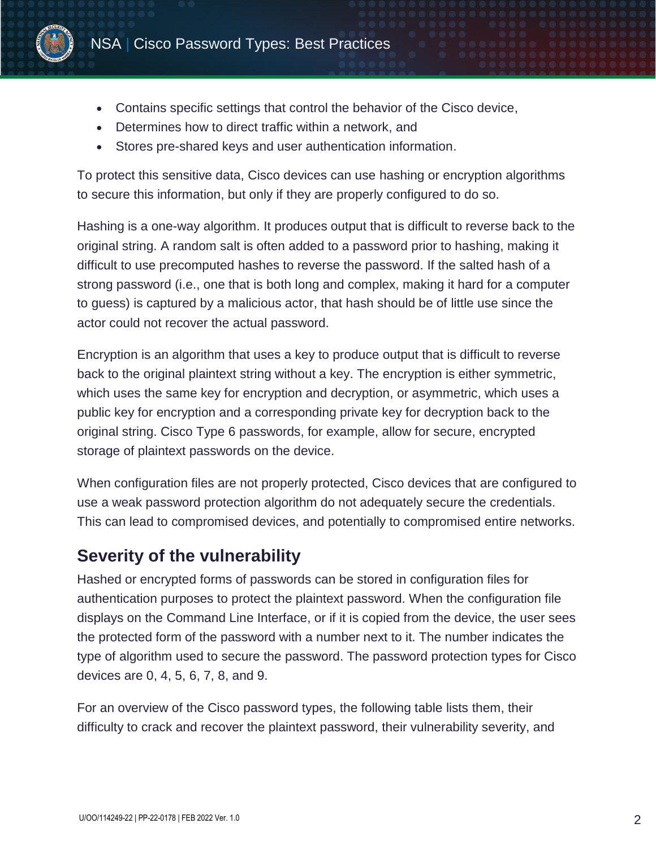

- Contains specific settings that control the behavior of the Cisco device,
- Determines how to direct traffic within a network, and
- Stores pre-shared keys and user authentication information.

To protect this sensitive data, Cisco devices can use hashing or encryption algorithms to secure this information, but only if they are properly configured to do so.

Hashing is a one-way algorithm. It produces output that is difficult to reverse back to the original string. A random salt is often added to a password prior to hashing, making it difficult to use precomputed hashes to reverse the password. If the salted hash of a strong password (i.e., one that is both long and complex, making it hard for a computer to guess) is captured by a malicious actor, that hash should be of little use since the actor could not recover the actual password.

Encryption is an algorithm that uses a key to produce output that is difficult to reverse back to the original plaintext string without a key. The encryption is either symmetric, which uses the same key for encryption and decryption, or asymmetric, which uses a public key for encryption and a corresponding private key for decryption back to the original string. Cisco Type 6 passwords, for example, allow for secure, encrypted storage of plaintext passwords on the device.

When configuration files are not properly protected, Cisco devices that are configured to use a weak password protection algorithm do not adequately secure the credentials. This can lead to compromised devices, and potentially to compromised entire networks.

# **Severity of the vulnerability**

Hashed or encrypted forms of passwords can be stored in configuration files for authentication purposes to protect the plaintext password. When the configuration file displays on the Command Line Interface, or if it is copied from the device, the user sees the protected form of the password with a number next to it. The number indicates the type of algorithm used to secure the password. The password protection types for Cisco devices are 0, 4, 5, 6, 7, 8, and 9.

For an overview of the Cisco password types, the following table lists them, their difficulty to crack and recover the plaintext password, their vulnerability severity, and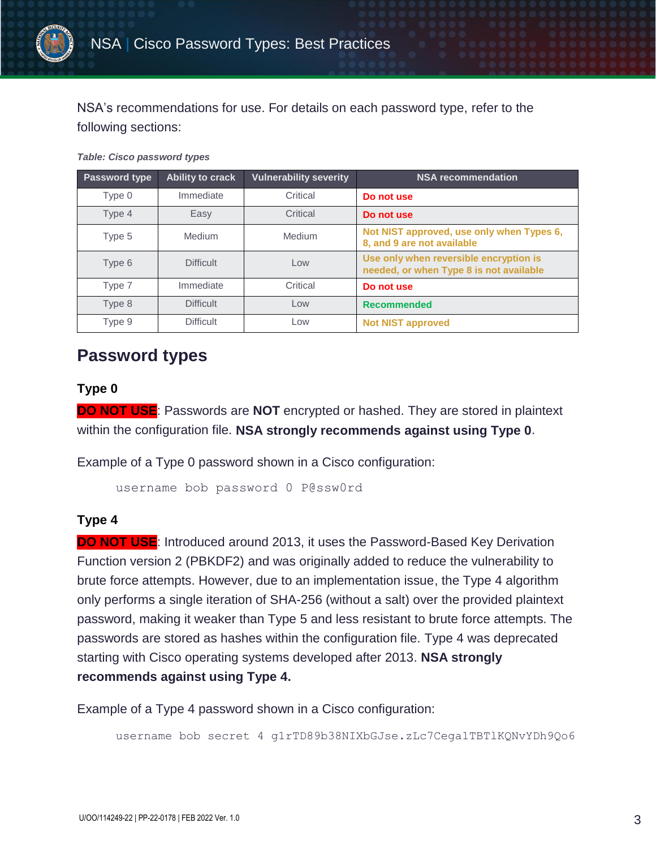

NSA's recommendations for use. For details on each password type, refer to the following sections:

*Table: Cisco password types*

| Password type | <b>Ability to crack</b> | <b>Vulnerability severity</b> | <b>NSA recommendation</b>                                                         |
|---------------|-------------------------|-------------------------------|-----------------------------------------------------------------------------------|
| Type 0        | Immediate               | Critical                      | Do not use                                                                        |
| Type 4        | Easy                    | Critical                      | Do not use                                                                        |
| Type 5        | <b>Medium</b>           | Medium                        | Not NIST approved, use only when Types 6,<br>8, and 9 are not available           |
| Type 6        | <b>Difficult</b>        | Low                           | Use only when reversible encryption is<br>needed, or when Type 8 is not available |
| Type 7        | Immediate               | Critical                      | Do not use                                                                        |
| Type 8        | <b>Difficult</b>        | Low                           | <b>Recommended</b>                                                                |
| Type 9        | <b>Difficult</b>        | Low                           | <b>Not NIST approved</b>                                                          |

# **Password types**

### **Type 0**

**DO NOT USE**: Passwords are **NOT** encrypted or hashed. They are stored in plaintext within the configuration file. **NSA strongly recommends against using Type 0**.

Example of a Type 0 password shown in a Cisco configuration:

username bob password 0 P@ssw0rd

### **Type 4**

**DO NOT USE:** Introduced around 2013, it uses the Password-Based Key Derivation Function version 2 (PBKDF2) and was originally added to reduce the vulnerability to brute force attempts. However, due to an implementation issue, the Type 4 algorithm only performs a single iteration of SHA-256 (without a salt) over the provided plaintext password, making it weaker than Type 5 and less resistant to brute force attempts. The passwords are stored as hashes within the configuration file. Type 4 was deprecated starting with Cisco operating systems developed after 2013. **NSA strongly recommends against using Type 4.**

Example of a Type 4 password shown in a Cisco configuration:

username bob secret 4 g1rTD89b38NIXbGJse.zLc7Cega1TBTlKQNvYDh9Qo6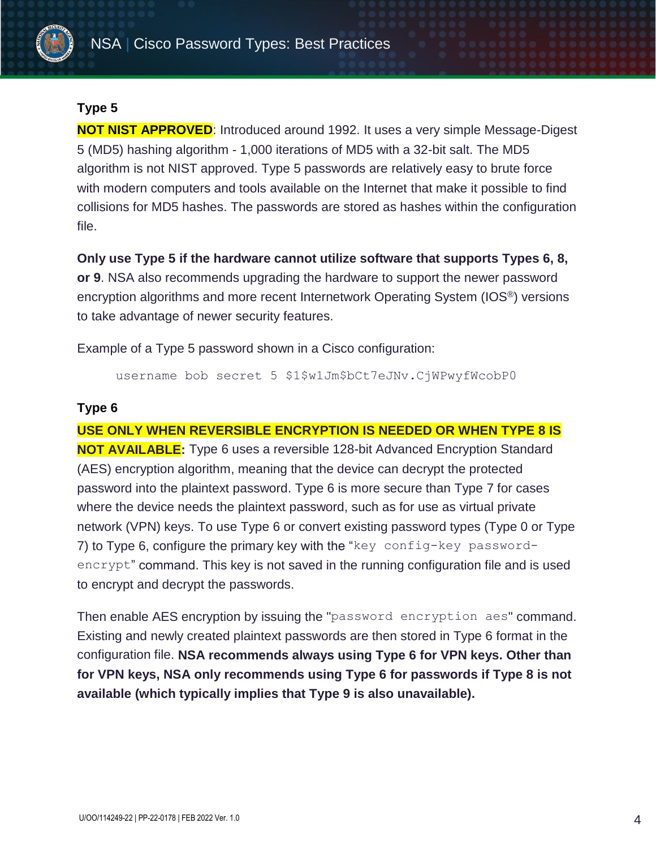

### **Type 5**

**NOT NIST APPROVED**: Introduced around 1992. It uses a very simple Message-Digest 5 (MD5) hashing algorithm - 1,000 iterations of MD5 with a 32-bit salt. The MD5 algorithm is not NIST approved. Type 5 passwords are relatively easy to brute force with modern computers and tools available on the Internet that make it possible to find collisions for MD5 hashes. The passwords are stored as hashes within the configuration file.

**Only use Type 5 if the hardware cannot utilize software that supports Types 6, 8, or 9**. NSA also recommends upgrading the hardware to support the newer password encryption algorithms and more recent Internetwork Operating System (IOS®) versions to take advantage of newer security features.

Example of a Type 5 password shown in a Cisco configuration:

username bob secret 5 \$1\$w1Jm\$bCt7eJNv.CjWPwyfWcobP0

### **Type 6**

**USE ONLY WHEN REVERSIBLE ENCRYPTION IS NEEDED OR WHEN TYPE 8 IS NOT AVAILABLE:** Type 6 uses a reversible 128-bit Advanced Encryption Standard (AES) encryption algorithm, meaning that the device can decrypt the protected password into the plaintext password. Type 6 is more secure than Type 7 for cases where the device needs the plaintext password, such as for use as virtual private network (VPN) keys. To use Type 6 or convert existing password types (Type 0 or Type 7) to Type 6, configure the primary key with the "key config-key passwordencrypt" command. This key is not saved in the running configuration file and is used to encrypt and decrypt the passwords.

Then enable AES encryption by issuing the "password encryption aes" command. Existing and newly created plaintext passwords are then stored in Type 6 format in the configuration file. **NSA recommends always using Type 6 for VPN keys. Other than for VPN keys, NSA only recommends using Type 6 for passwords if Type 8 is not available (which typically implies that Type 9 is also unavailable).**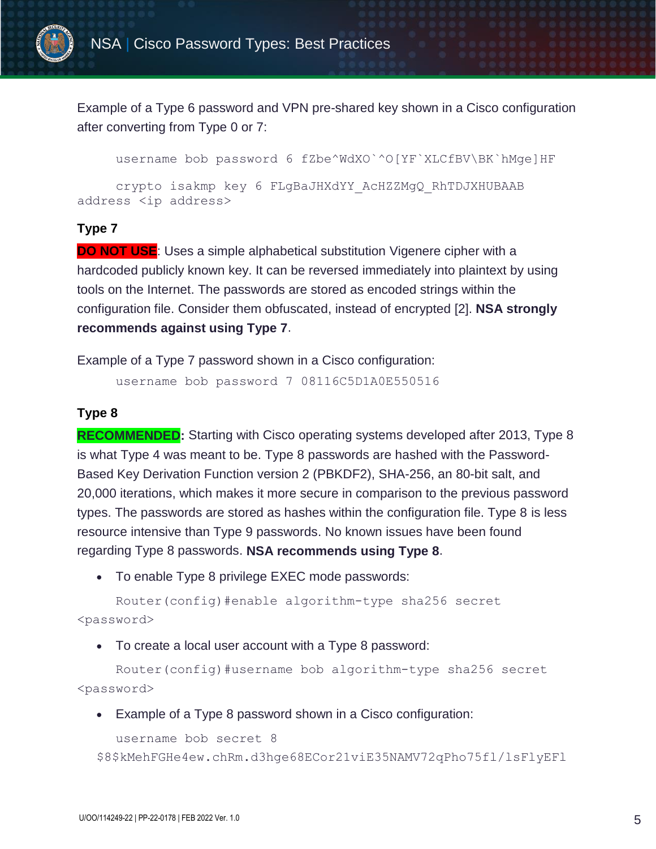

Example of a Type 6 password and VPN pre-shared key shown in a Cisco configuration after converting from Type 0 or 7:

username bob password 6 fZbe^WdXO`^O[YF`XLCfBV\BK`hMge]HF

crypto isakmp key 6 FLgBaJHXdYY\_AcHZZMgQ\_RhTDJXHUBAAB address <ip address>

#### **Type 7**

**DO NOT USE:** Uses a simple alphabetical substitution Vigenere cipher with a hardcoded publicly known key. It can be reversed immediately into plaintext by using tools on the Internet. The passwords are stored as encoded strings within the configuration file. Consider them obfuscated, instead of encrypted [\[2\].](#page-8-1) **NSA strongly recommends against using Type 7**.

Example of a Type 7 password shown in a Cisco configuration:

username bob password 7 08116C5D1A0E550516

#### **Type 8**

**RECOMMENDED:** Starting with Cisco operating systems developed after 2013, Type 8 is what Type 4 was meant to be. Type 8 passwords are hashed with the Password-Based Key Derivation Function version 2 (PBKDF2), SHA-256, an 80-bit salt, and 20,000 iterations, which makes it more secure in comparison to the previous password types. The passwords are stored as hashes within the configuration file. Type 8 is less resource intensive than Type 9 passwords. No known issues have been found regarding Type 8 passwords. **NSA recommends using Type 8**.

To enable Type 8 privilege EXEC mode passwords:

Router(config)#enable algorithm-type sha256 secret <password>

To create a local user account with a Type 8 password:

Router(config)#username bob algorithm-type sha256 secret <password>

Example of a Type 8 password shown in a Cisco configuration:

username bob secret 8

\$8\$kMehFGHe4ew.chRm.d3hge68ECor21viE35NAMV72qPho75fl/lsFlyEFl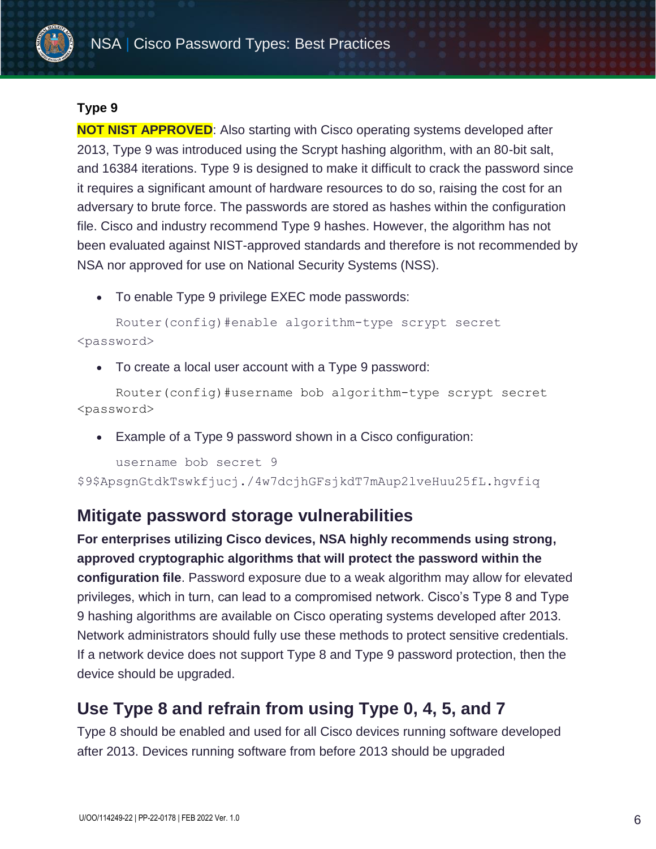

### **Type 9**

**NOT NIST APPROVED**: Also starting with Cisco operating systems developed after 2013, Type 9 was introduced using the Scrypt hashing algorithm, with an 80-bit salt, and 16384 iterations. Type 9 is designed to make it difficult to crack the password since it requires a significant amount of hardware resources to do so, raising the cost for an adversary to brute force. The passwords are stored as hashes within the configuration file. Cisco and industry recommend Type 9 hashes. However, the algorithm has not been evaluated against NIST-approved standards and therefore is not recommended by NSA nor approved for use on National Security Systems (NSS).

To enable Type 9 privilege EXEC mode passwords:

```
Router(config)#enable algorithm-type scrypt secret 
<password>
```
To create a local user account with a Type 9 password:

Router(config)#username bob algorithm-type scrypt secret <password>

Example of a Type 9 password shown in a Cisco configuration:

```
username bob secret 9 
$9$ApsgnGtdkTswkfjucj./4w7dcjhGFsjkdT7mAup2lveHuu25fL.hgvfiq
```
### **Mitigate password storage vulnerabilities**

**For enterprises utilizing Cisco devices, NSA highly recommends using strong, approved cryptographic algorithms that will protect the password within the configuration file**. Password exposure due to a weak algorithm may allow for elevated privileges, which in turn, can lead to a compromised network. Cisco's Type 8 and Type 9 hashing algorithms are available on Cisco operating systems developed after 2013. Network administrators should fully use these methods to protect sensitive credentials. If a network device does not support Type 8 and Type 9 password protection, then the device should be upgraded.

# **Use Type 8 and refrain from using Type 0, 4, 5, and 7**

Type 8 should be enabled and used for all Cisco devices running software developed after 2013. Devices running software from before 2013 should be upgraded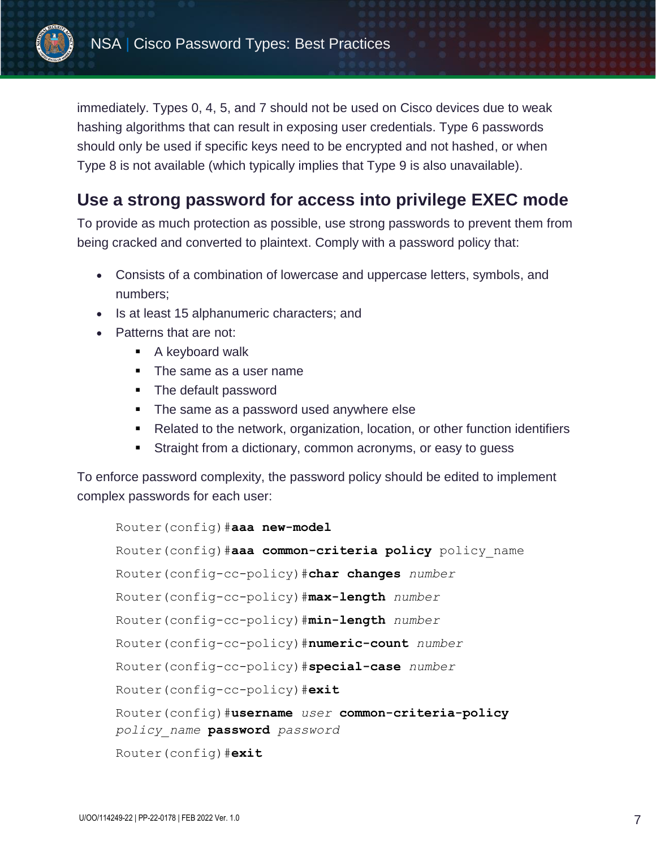

immediately. Types 0, 4, 5, and 7 should not be used on Cisco devices due to weak hashing algorithms that can result in exposing user credentials. Type 6 passwords should only be used if specific keys need to be encrypted and not hashed, or when Type 8 is not available (which typically implies that Type 9 is also unavailable).

# **Use a strong password for access into privilege EXEC mode**

To provide as much protection as possible, use strong passwords to prevent them from being cracked and converted to plaintext. Comply with a password policy that:

- Consists of a combination of lowercase and uppercase letters, symbols, and numbers;
- Is at least 15 alphanumeric characters; and
- Patterns that are not:
	- A keyboard walk
	- The same as a user name
	- **The default password**
	- The same as a password used anywhere else
	- Related to the network, organization, location, or other function identifiers
	- **Straight from a dictionary, common acronyms, or easy to quess**

To enforce password complexity, the password policy should be edited to implement complex passwords for each user:

```
Router(config)#aaa new-model
```
Router(config)#**aaa common-criteria policy** policy\_name Router(config-cc-policy)#**char changes** *number* Router(config-cc-policy)#**max-length** *number* Router(config-cc-policy)#**min-length** *number* Router(config-cc-policy)#**numeric-count** *number* Router(config-cc-policy)#**special-case** *number* Router(config-cc-policy)#**exit** Router(config)#**username** *user* **common-criteria-policy** *policy\_name* **password** *password* Router(config)#**exit**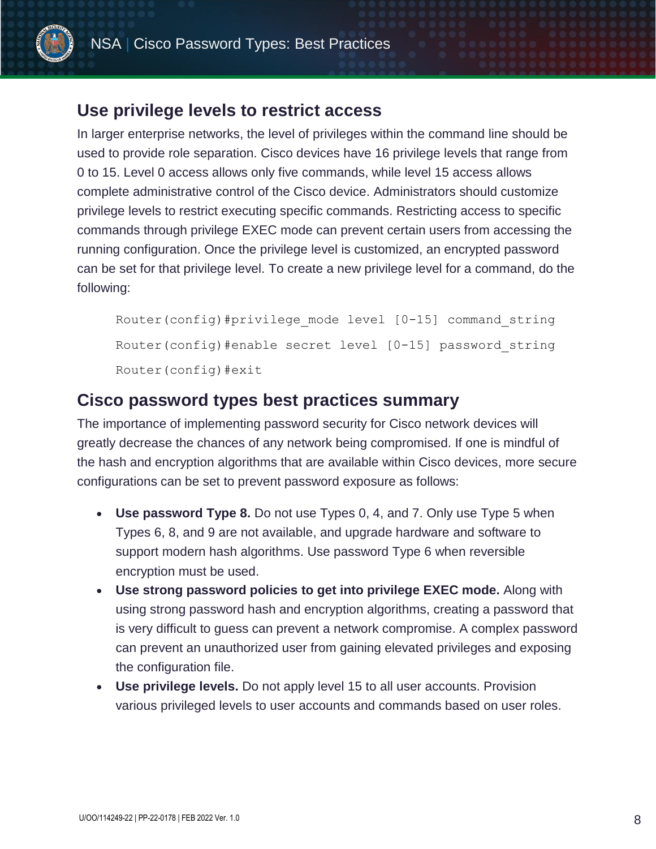

### **Use privilege levels to restrict access**

In larger enterprise networks, the level of privileges within the command line should be used to provide role separation. Cisco devices have 16 privilege levels that range from 0 to 15. Level 0 access allows only five commands, while level 15 access allows complete administrative control of the Cisco device. Administrators should customize privilege levels to restrict executing specific commands. Restricting access to specific commands through privilege EXEC mode can prevent certain users from accessing the running configuration. Once the privilege level is customized, an encrypted password can be set for that privilege level. To create a new privilege level for a command, do the following:

Router(config)#privilege mode level [0-15] command string Router(config)#enable secret level [0-15] password\_string Router(config)#exit

### **Cisco password types best practices summary**

The importance of implementing password security for Cisco network devices will greatly decrease the chances of any network being compromised. If one is mindful of the hash and encryption algorithms that are available within Cisco devices, more secure configurations can be set to prevent password exposure as follows:

- **Use password Type 8.** Do not use Types 0, 4, and 7. Only use Type 5 when Types 6, 8, and 9 are not available, and upgrade hardware and software to support modern hash algorithms. Use password Type 6 when reversible encryption must be used.
- **Use strong password policies to get into privilege EXEC mode.** Along with using strong password hash and encryption algorithms, creating a password that is very difficult to guess can prevent a network compromise. A complex password can prevent an unauthorized user from gaining elevated privileges and exposing the configuration file.
- **Use privilege levels.** Do not apply level 15 to all user accounts. Provision various privileged levels to user accounts and commands based on user roles.